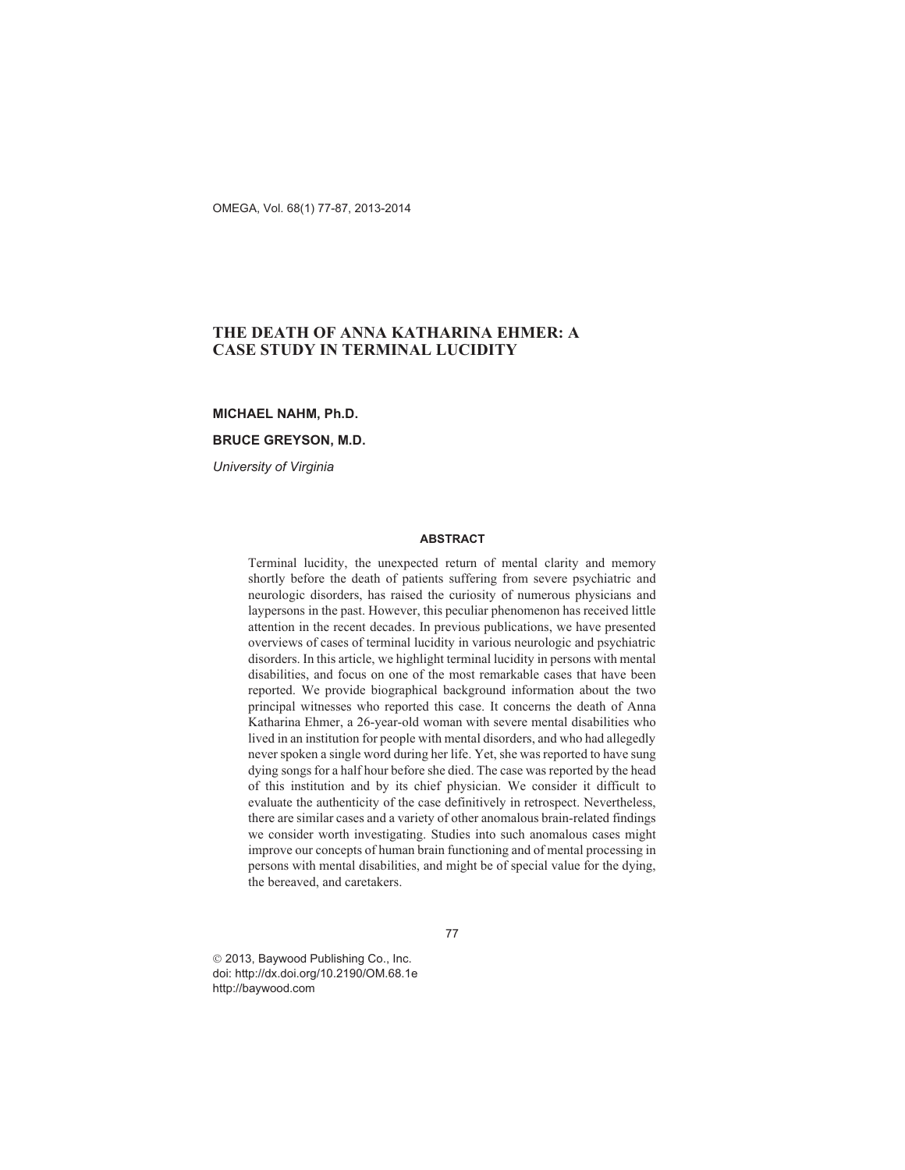OMEGA, Vol. 68(1) 77-87, 2013-2014

# **THE DEATH OF ANNA KATHARINA EHMER: A CASE STUDY IN TERMINAL LUCIDITY**

## **MICHAEL NAHM, Ph.D.**

## **BRUCE GREYSON, M.D.**

*University of Virginia*

### **ABSTRACT**

Terminal lucidity, the unexpected return of mental clarity and memory shortly before the death of patients suffering from severe psychiatric and neurologic disorders, has raised the curiosity of numerous physicians and laypersons in the past. However, this peculiar phenomenon has received little attention in the recent decades. In previous publications, we have presented overviews of cases of terminal lucidity in various neurologic and psychiatric disorders. In this article, we highlight terminal lucidity in persons with mental disabilities, and focus on one of the most remarkable cases that have been reported. We provide biographical background information about the two principal witnesses who reported this case. It concerns the death of Anna Katharina Ehmer, a 26-year-old woman with severe mental disabilities who lived in an institution for people with mental disorders, and who had allegedly never spoken a single word during her life. Yet, she was reported to have sung dying songs for a half hour before she died. The case was reported by the head of this institution and by its chief physician. We consider it difficult to evaluate the authenticity of the case definitively in retrospect. Nevertheless, there are similar cases and a variety of other anomalous brain-related findings we consider worth investigating. Studies into such anomalous cases might improve our concepts of human brain functioning and of mental processing in persons with mental disabilities, and might be of special value for the dying, the bereaved, and caretakers.

77

© 2013, Baywood Publishing Co., Inc. doi: http://dx.doi.org/10.2190/OM.68.1e http://baywood.com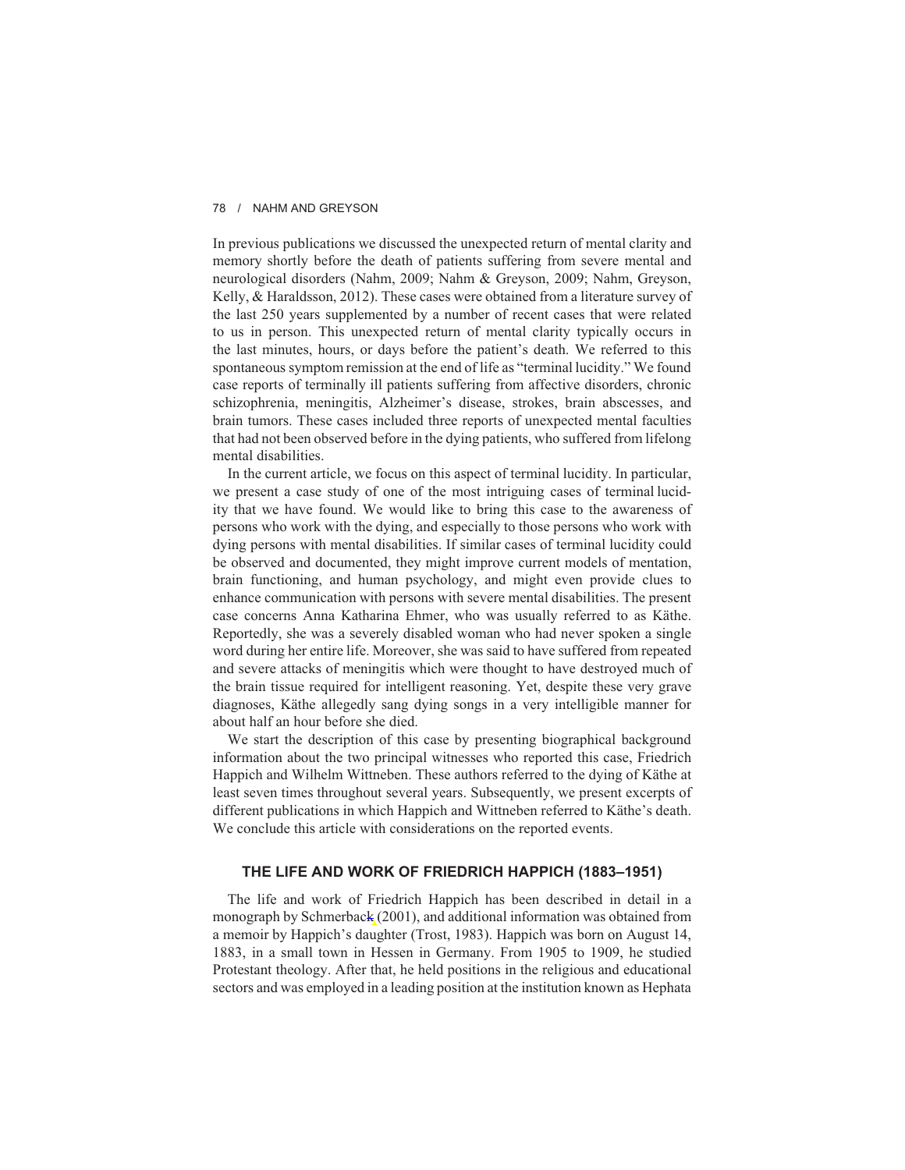In previous publications we discussed the unexpected return of mental clarity and memory shortly before the death of patients suffering from severe mental and neurological disorders (Nahm, 2009; Nahm & Greyson, 2009; Nahm, Greyson, Kelly, & Haraldsson, 2012). These cases were obtained from a literature survey of the last 250 years supplemented by a number of recent cases that were related to us in person. This unexpected return of mental clarity typically occurs in the last minutes, hours, or days before the patient's death. We referred to this spontaneous symptom remission at the end of life as "terminal lucidity." We found case reports of terminally ill patients suffering from affective disorders, chronic schizophrenia, meningitis, Alzheimer's disease, strokes, brain abscesses, and brain tumors. These cases included three reports of unexpected mental faculties that had not been observed before in the dying patients, who suffered from lifelong mental disabilities.

In the current article, we focus on this aspect of terminal lucidity. In particular, we present a case study of one of the most intriguing cases of terminal lucidity that we have found. We would like to bring this case to the awareness of persons who work with the dying, and especially to those persons who work with dying persons with mental disabilities. If similar cases of terminal lucidity could be observed and documented, they might improve current models of mentation, brain functioning, and human psychology, and might even provide clues to enhance communication with persons with severe mental disabilities. The present case concerns Anna Katharina Ehmer, who was usually referred to as Käthe. Reportedly, she was a severely disabled woman who had never spoken a single word during her entire life. Moreover, she was said to have suffered from repeated and severe attacks of meningitis which were thought to have destroyed much of the brain tissue required for intelligent reasoning. Yet, despite these very grave diagnoses, Käthe allegedly sang dying songs in a very intelligible manner for about half an hour before she died.

We start the description of this case by presenting biographical background information about the two principal witnesses who reported this case, Friedrich Happich and Wilhelm Wittneben. These authors referred to the dying of Käthe at least seven times throughout several years. Subsequently, we present excerpts of different publications in which Happich and Wittneben referred to Käthe's death. We conclude this article with considerations on the reported events.

### **THE LIFE AND WORK OF FRIEDRICH HAPPICH (1883–1951)**

The life and work of Friedrich Happich has been described in detail in a monograph by Schmerback (2001), and additional information was obtained from a memoir by Happich's daughter (Trost, 1983). Happich was born on August 14, 1883, in a small town in Hessen in Germany. From 1905 to 1909, he studied Protestant theology. After that, he held positions in the religious and educational sectors and was employed in a leading position at the institution known as Hephata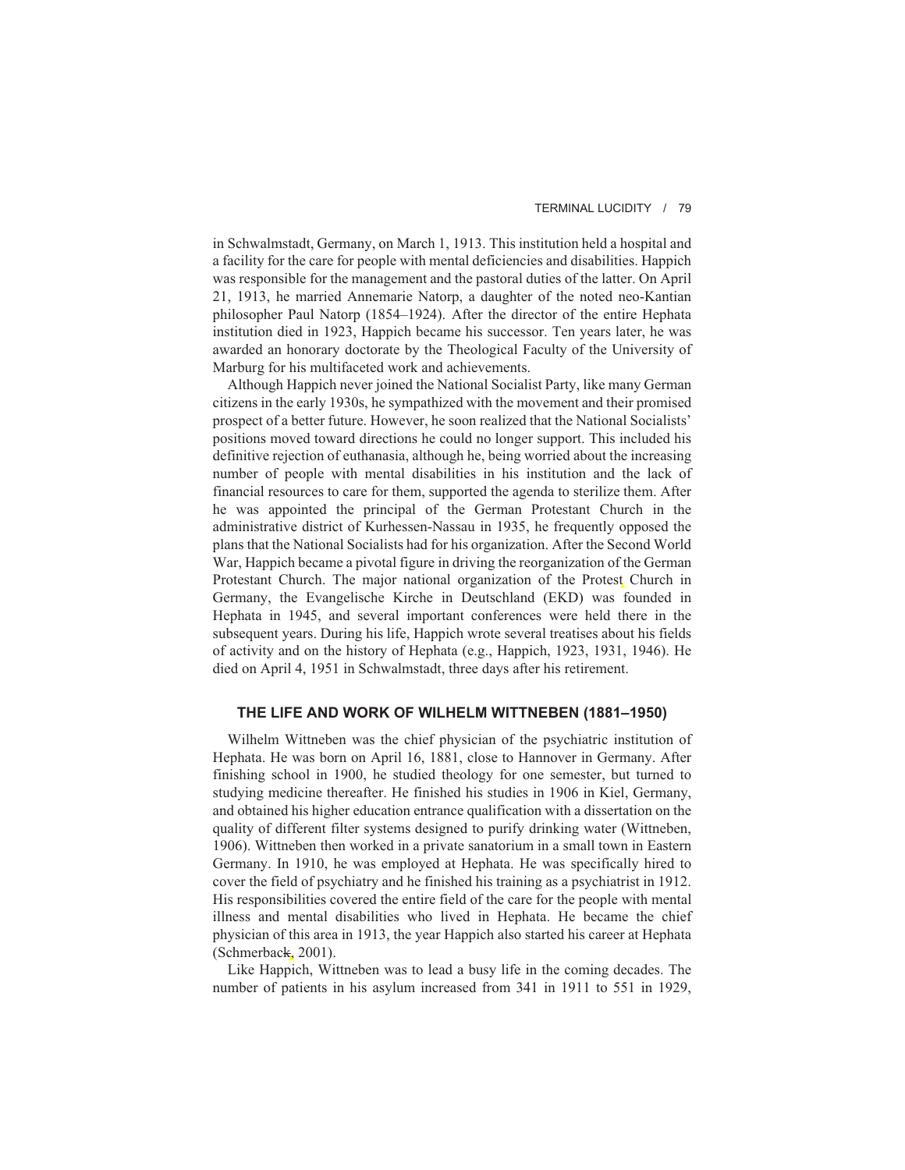in Schwalmstadt, Germany, on March 1, 1913. This institution held a hospital and a facility for the care for people with mental deficiencies and disabilities. Happich was responsible for the management and the pastoral duties of the latter. On April 21, 1913, he married Annemarie Natorp, a daughter of the noted neo-Kantian philosopher Paul Natorp (1854–1924). After the director of the entire Hephata institution died in 1923, Happich became his successor. Ten years later, he was awarded an honorary doctorate by the Theological Faculty of the University of Marburg for his multifaceted work and achievements.

Although Happich never joined the National Socialist Party, like many German citizens in the early 1930s, he sympathized with the movement and their promised prospect of a better future. However, he soon realized that the National Socialists' positions moved toward directions he could no longer support. This included his definitive rejection of euthanasia, although he, being worried about the increasing number of people with mental disabilities in his institution and the lack of financial resources to care for them, supported the agenda to sterilize them. After he was appointed the principal of the German Protestant Church in the administrative district of Kurhessen-Nassau in 1935, he frequently opposed the plans that the National Socialists had for his organization. After the Second World War, Happich became a pivotal figure in driving the reorganization of the German Protestant Church. The major national organization of the Protest Church in Germany, the Evangelische Kirche in Deutschland (EKD) was founded in Hephata in 1945, and several important conferences were held there in the subsequent years. During his life, Happich wrote several treatises about his fields of activity and on the history of Hephata (e.g., Happich, 1923, 1931, 1946). He died on April 4, 1951 in Schwalmstadt, three days after his retirement.

### **THE LIFE AND WORK OF WILHELM WITTNEBEN (1881–1950)**

Wilhelm Wittneben was the chief physician of the psychiatric institution of Hephata. He was born on April 16, 1881, close to Hannover in Germany. After finishing school in 1900, he studied theology for one semester, but turned to studying medicine thereafter. He finished his studies in 1906 in Kiel, Germany, and obtained his higher education entrance qualification with a dissertation on the quality of different filter systems designed to purify drinking water (Wittneben, 1906). Wittneben then worked in a private sanatorium in a small town in Eastern Germany. In 1910, he was employed at Hephata. He was specifically hired to cover the field of psychiatry and he finished his training as a psychiatrist in 1912. His responsibilities covered the entire field of the care for the people with mental illness and mental disabilities who lived in Hephata. He became the chief physician of this area in 1913, the year Happich also started his career at Hephata (Schmerback, 2001).

Like Happich, Wittneben was to lead a busy life in the coming decades. The number of patients in his asylum increased from 341 in 1911 to 551 in 1929,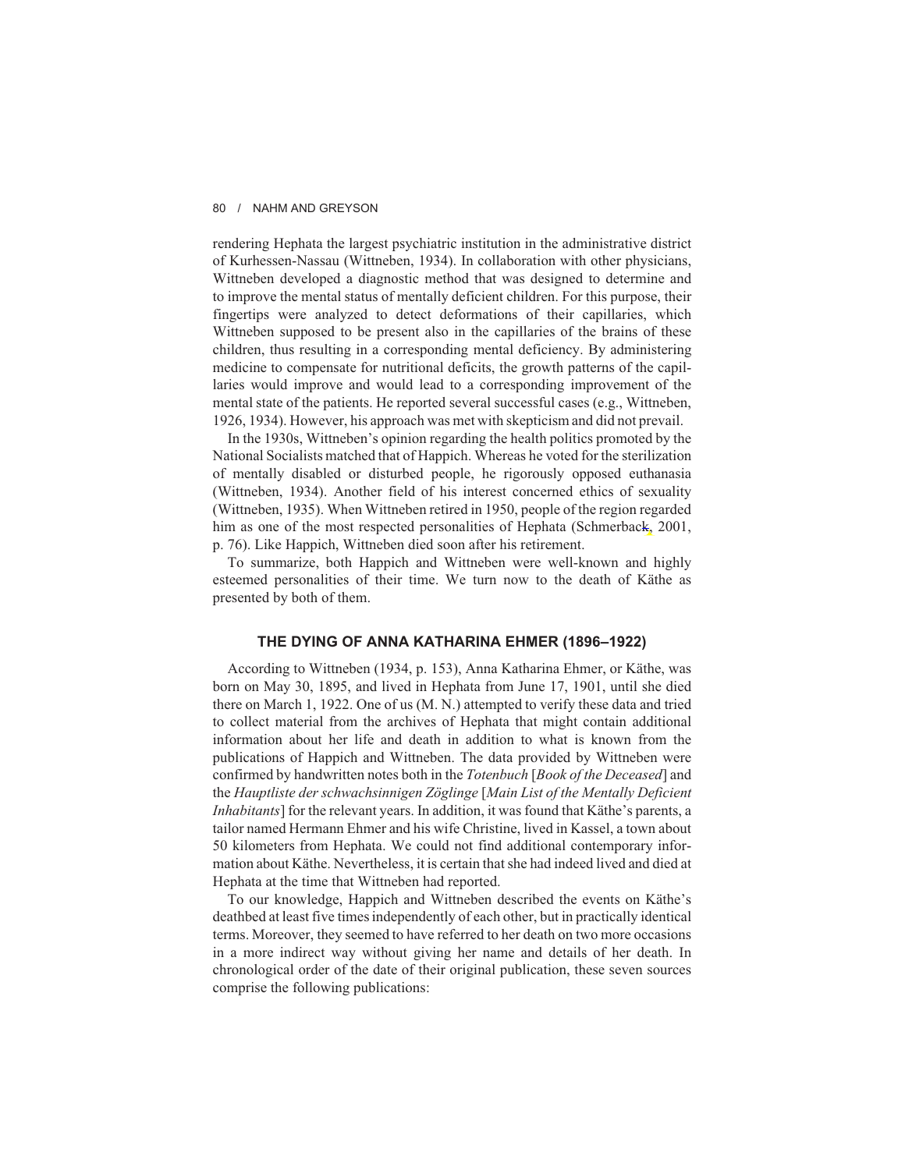rendering Hephata the largest psychiatric institution in the administrative district of Kurhessen-Nassau (Wittneben, 1934). In collaboration with other physicians, Wittneben developed a diagnostic method that was designed to determine and to improve the mental status of mentally deficient children. For this purpose, their fingertips were analyzed to detect deformations of their capillaries, which Wittneben supposed to be present also in the capillaries of the brains of these children, thus resulting in a corresponding mental deficiency. By administering medicine to compensate for nutritional deficits, the growth patterns of the capillaries would improve and would lead to a corresponding improvement of the mental state of the patients. He reported several successful cases (e.g., Wittneben, 1926, 1934). However, his approach was met with skepticism and did not prevail.

In the 1930s, Wittneben's opinion regarding the health politics promoted by the National Socialists matched that of Happich. Whereas he voted for the sterilization of mentally disabled or disturbed people, he rigorously opposed euthanasia (Wittneben, 1934). Another field of his interest concerned ethics of sexuality (Wittneben, 1935). When Wittneben retired in 1950, people of the region regarded him as one of the most respected personalities of Hephata (Schmerback, 2001, p. 76). Like Happich, Wittneben died soon after his retirement.

To summarize, both Happich and Wittneben were well-known and highly esteemed personalities of their time. We turn now to the death of Käthe as presented by both of them.

## **THE DYING OF ANNA KATHARINA EHMER (1896–1922)**

According to Wittneben (1934, p. 153), Anna Katharina Ehmer, or Käthe, was born on May 30, 1895, and lived in Hephata from June 17, 1901, until she died there on March 1, 1922. One of us (M. N.) attempted to verify these data and tried to collect material from the archives of Hephata that might contain additional information about her life and death in addition to what is known from the publications of Happich and Wittneben. The data provided by Wittneben were confirmed by handwritten notes both in the *Totenbuch* [*Book of the Deceased*] and the *Hauptliste der schwachsinnigen Zöglinge* [*Main List of the Mentally Deficient Inhabitants*] for the relevant years. In addition, it was found that Käthe's parents, a tailor named Hermann Ehmer and his wife Christine, lived in Kassel, a town about 50 kilometers from Hephata. We could not find additional contemporary information about Käthe. Nevertheless, it is certain that she had indeed lived and died at Hephata at the time that Wittneben had reported.

To our knowledge, Happich and Wittneben described the events on Käthe's deathbed at least five times independently of each other, but in practically identical terms. Moreover, they seemed to have referred to her death on two more occasions in a more indirect way without giving her name and details of her death. In chronological order of the date of their original publication, these seven sources comprise the following publications: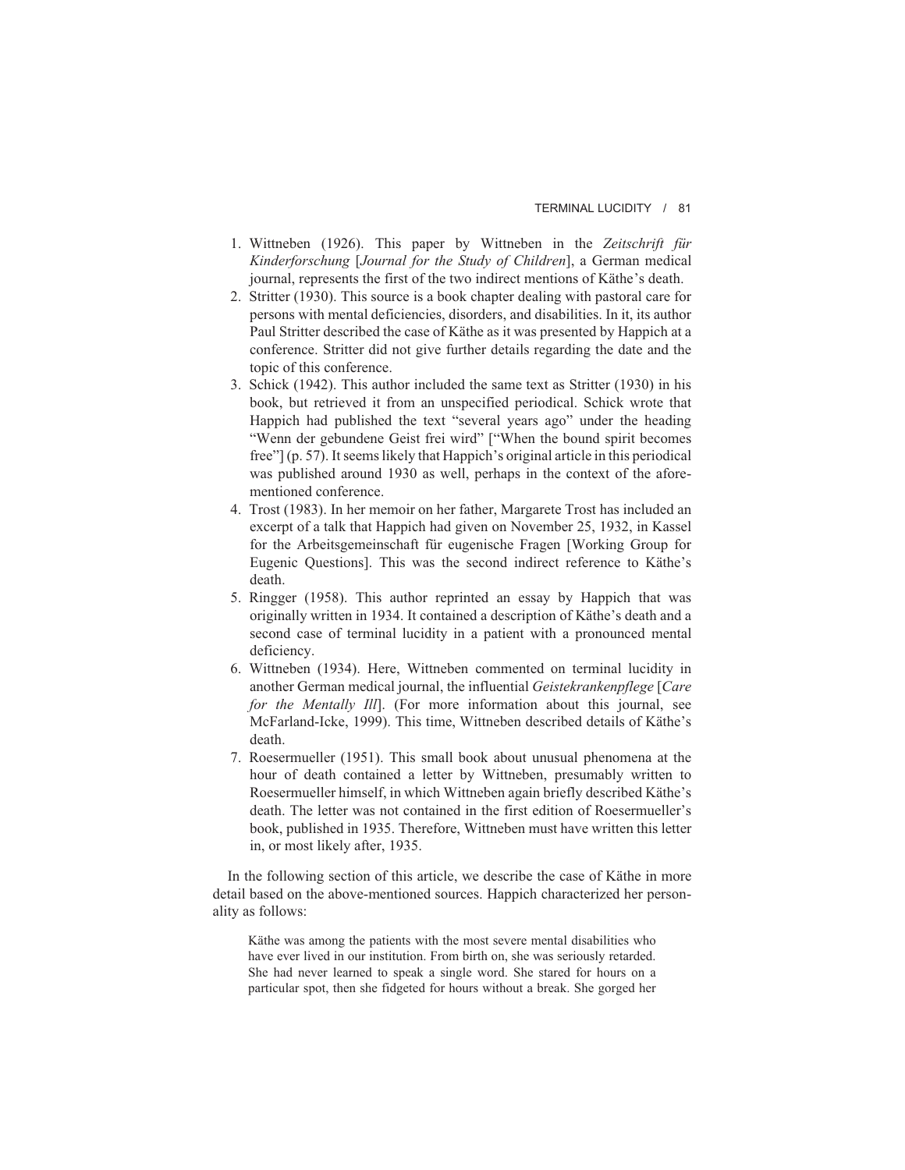### TERMINAL LUCIDITY / 81

- 1. Wittneben (1926). This paper by Wittneben in the *Zeitschrift für Kinderforschung* [*Journal for the Study of Children*], a German medical journal, represents the first of the two indirect mentions of Käthe's death.
- 2. Stritter (1930). This source is a book chapter dealing with pastoral care for persons with mental deficiencies, disorders, and disabilities. In it, its author Paul Stritter described the case of Käthe as it was presented by Happich at a conference. Stritter did not give further details regarding the date and the topic of this conference.
- 3. Schick (1942). This author included the same text as Stritter (1930) in his book, but retrieved it from an unspecified periodical. Schick wrote that Happich had published the text "several years ago" under the heading "Wenn der gebundene Geist frei wird" ["When the bound spirit becomes free"] (p. 57). It seems likely that Happich's original article in this periodical was published around 1930 as well, perhaps in the context of the aforementioned conference.
- 4. Trost (1983). In her memoir on her father, Margarete Trost has included an excerpt of a talk that Happich had given on November 25, 1932, in Kassel for the Arbeitsgemeinschaft für eugenische Fragen [Working Group for Eugenic Questions]. This was the second indirect reference to Käthe's death.
- 5. Ringger (1958). This author reprinted an essay by Happich that was originally written in 1934. It contained a description of Käthe's death and a second case of terminal lucidity in a patient with a pronounced mental deficiency.
- 6. Wittneben (1934). Here, Wittneben commented on terminal lucidity in another German medical journal, the influential *Geistekrankenpflege* [*Care for the Mentally Ill*]. (For more information about this journal, see McFarland-Icke, 1999). This time, Wittneben described details of Käthe's death.
- 7. Roesermueller (1951). This small book about unusual phenomena at the hour of death contained a letter by Wittneben, presumably written to Roesermueller himself, in which Wittneben again briefly described Käthe's death. The letter was not contained in the first edition of Roesermueller's book, published in 1935. Therefore, Wittneben must have written this letter in, or most likely after, 1935.

In the following section of this article, we describe the case of Käthe in more detail based on the above-mentioned sources. Happich characterized her personality as follows:

Käthe was among the patients with the most severe mental disabilities who have ever lived in our institution. From birth on, she was seriously retarded. She had never learned to speak a single word. She stared for hours on a particular spot, then she fidgeted for hours without a break. She gorged her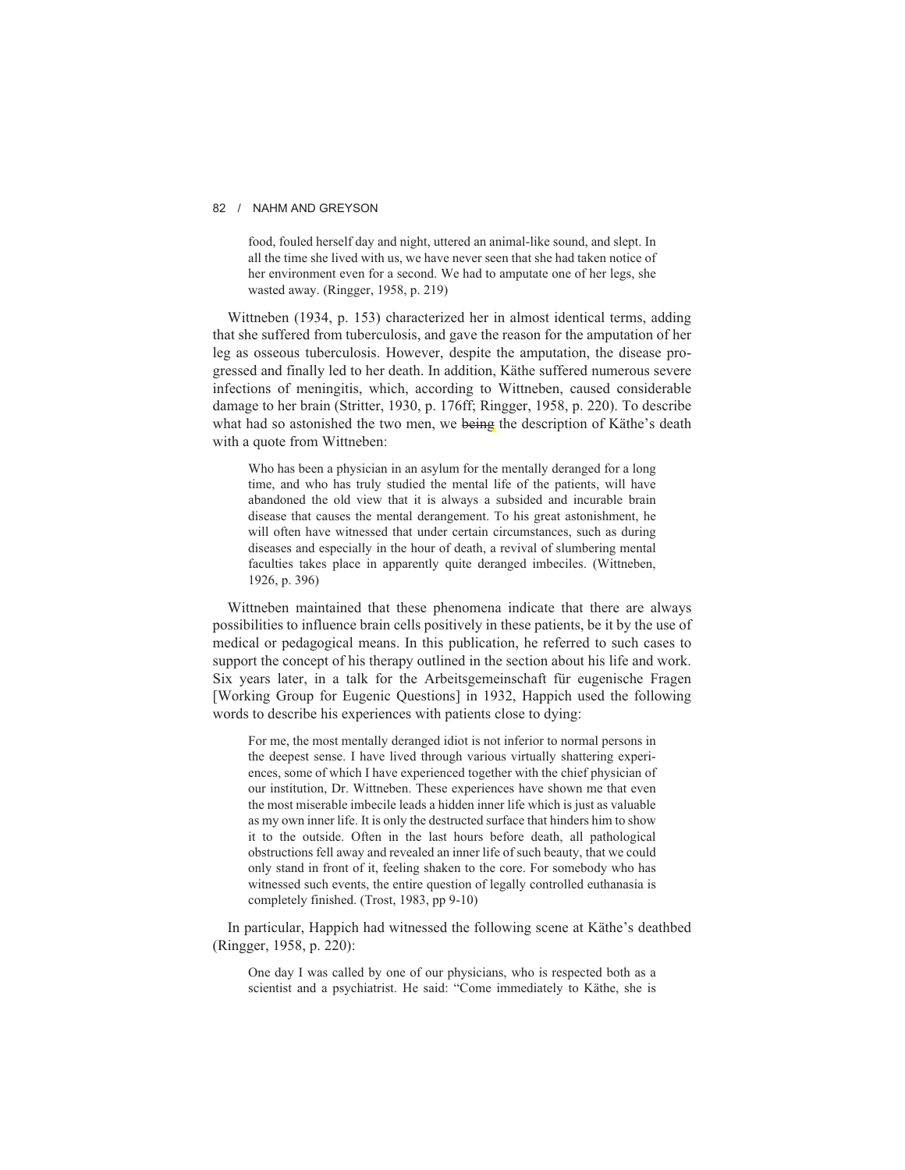food, fouled herself day and night, uttered an animal-like sound, and slept. In all the time she lived with us, we have never seen that she had taken notice of her environment even for a second. We had to amputate one of her legs, she wasted away. (Ringger, 1958, p. 219)

Wittneben (1934, p. 153) characterized her in almost identical terms, adding that she suffered from tuberculosis, and gave the reason for the amputation of her leg as osseous tuberculosis. However, despite the amputation, the disease progressed and finally led to her death. In addition, Käthe suffered numerous severe infections of meningitis, which, according to Wittneben, caused considerable damage to her brain (Stritter, 1930, p. 176ff; Ringger, 1958, p. 220). To describe what had so astonished the two men, we being the description of Käthe's death with a quote from Wittneben:

Who has been a physician in an asylum for the mentally deranged for a long time, and who has truly studied the mental life of the patients, will have abandoned the old view that it is always a subsided and incurable brain disease that causes the mental derangement. To his great astonishment, he will often have witnessed that under certain circumstances, such as during diseases and especially in the hour of death, a revival of slumbering mental faculties takes place in apparently quite deranged imbeciles. (Wittneben, 1926, p. 396)

Wittneben maintained that these phenomena indicate that there are always possibilities to influence brain cells positively in these patients, be it by the use of medical or pedagogical means. In this publication, he referred to such cases to support the concept of his therapy outlined in the section about his life and work. Six years later, in a talk for the Arbeitsgemeinschaft für eugenische Fragen [Working Group for Eugenic Questions] in 1932, Happich used the following words to describe his experiences with patients close to dying:

For me, the most mentally deranged idiot is not inferior to normal persons in the deepest sense. I have lived through various virtually shattering experiences, some of which I have experienced together with the chief physician of our institution, Dr. Wittneben. These experiences have shown me that even the most miserable imbecile leads a hidden inner life which is just as valuable as my own inner life. It is only the destructed surface that hinders him to show it to the outside. Often in the last hours before death, all pathological obstructions fell away and revealed an inner life of such beauty, that we could only stand in front of it, feeling shaken to the core. For somebody who has witnessed such events, the entire question of legally controlled euthanasia is completely finished. (Trost, 1983, pp 9-10)

In particular, Happich had witnessed the following scene at Käthe's deathbed (Ringger, 1958, p. 220):

One day I was called by one of our physicians, who is respected both as a scientist and a psychiatrist. He said: "Come immediately to Käthe, she is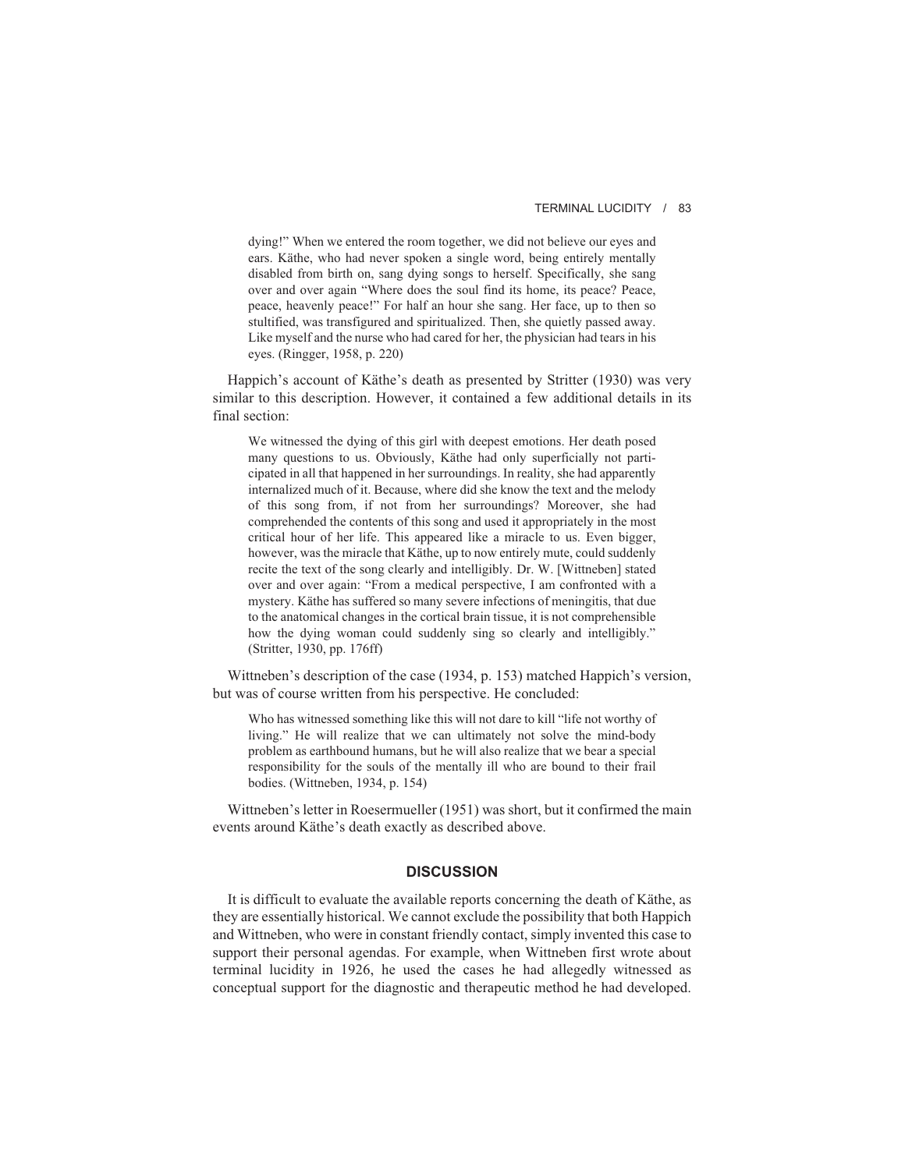#### TERMINAL LUCIDITY / 83

dying!" When we entered the room together, we did not believe our eyes and ears. Käthe, who had never spoken a single word, being entirely mentally disabled from birth on, sang dying songs to herself. Specifically, she sang over and over again "Where does the soul find its home, its peace? Peace, peace, heavenly peace!" For half an hour she sang. Her face, up to then so stultified, was transfigured and spiritualized. Then, she quietly passed away. Like myself and the nurse who had cared for her, the physician had tears in his eyes. (Ringger, 1958, p. 220)

Happich's account of Käthe's death as presented by Stritter (1930) was very similar to this description. However, it contained a few additional details in its final section:

We witnessed the dying of this girl with deepest emotions. Her death posed many questions to us. Obviously, Käthe had only superficially not participated in all that happened in her surroundings. In reality, she had apparently internalized much of it. Because, where did she know the text and the melody of this song from, if not from her surroundings? Moreover, she had comprehended the contents of this song and used it appropriately in the most critical hour of her life. This appeared like a miracle to us. Even bigger, however, was the miracle that Käthe, up to now entirely mute, could suddenly recite the text of the song clearly and intelligibly. Dr. W. [Wittneben] stated over and over again: "From a medical perspective, I am confronted with a mystery. Käthe has suffered so many severe infections of meningitis, that due to the anatomical changes in the cortical brain tissue, it is not comprehensible how the dying woman could suddenly sing so clearly and intelligibly." (Stritter, 1930, pp. 176ff)

Wittneben's description of the case (1934, p. 153) matched Happich's version, but was of course written from his perspective. He concluded:

Who has witnessed something like this will not dare to kill "life not worthy of living." He will realize that we can ultimately not solve the mind-body problem as earthbound humans, but he will also realize that we bear a special responsibility for the souls of the mentally ill who are bound to their frail bodies. (Wittneben, 1934, p. 154)

Wittneben's letter in Roesermueller (1951) was short, but it confirmed the main events around Käthe's death exactly as described above.

### **DISCUSSION**

It is difficult to evaluate the available reports concerning the death of Käthe, as they are essentially historical. We cannot exclude the possibility that both Happich and Wittneben, who were in constant friendly contact, simply invented this case to support their personal agendas. For example, when Wittneben first wrote about terminal lucidity in 1926, he used the cases he had allegedly witnessed as conceptual support for the diagnostic and therapeutic method he had developed.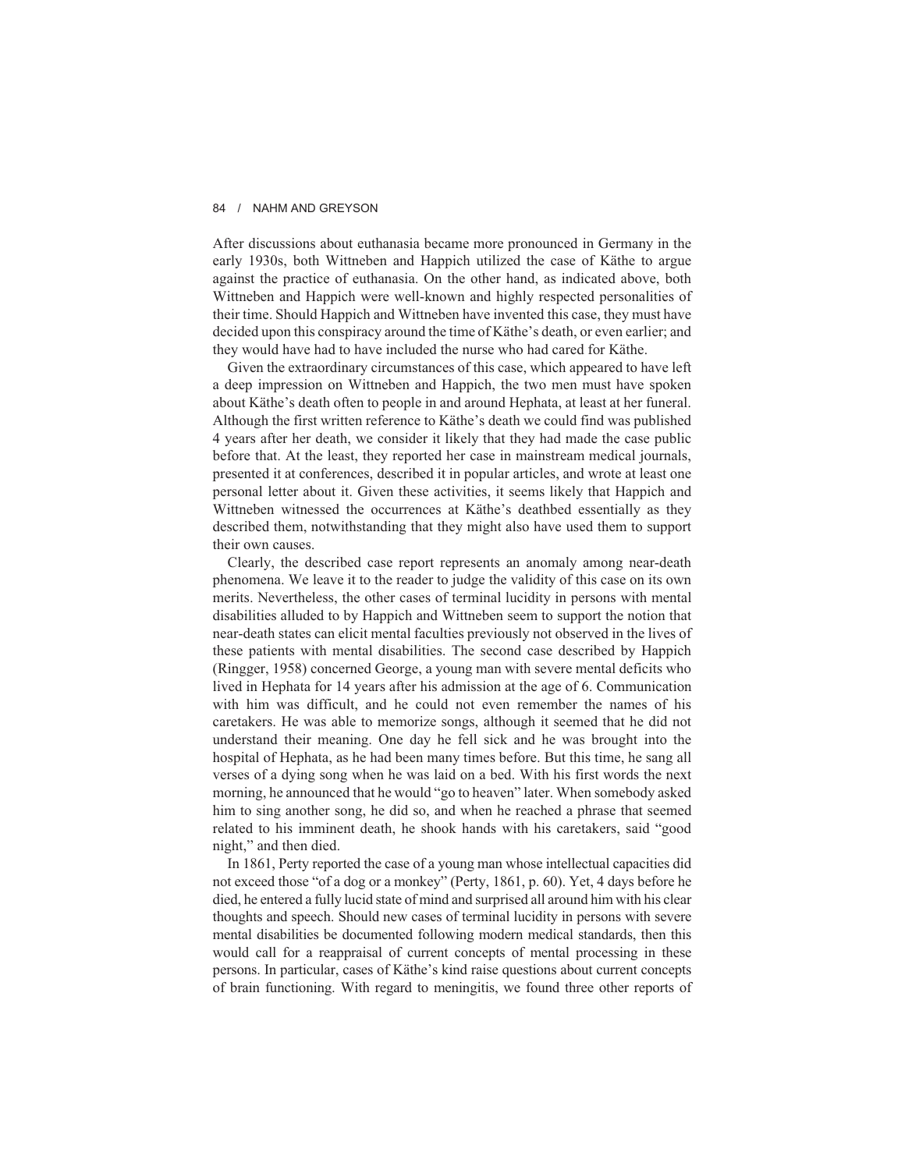After discussions about euthanasia became more pronounced in Germany in the early 1930s, both Wittneben and Happich utilized the case of Käthe to argue against the practice of euthanasia. On the other hand, as indicated above, both Wittneben and Happich were well-known and highly respected personalities of their time. Should Happich and Wittneben have invented this case, they must have decided upon this conspiracy around the time of Käthe's death, or even earlier; and they would have had to have included the nurse who had cared for Käthe.

Given the extraordinary circumstances of this case, which appeared to have left a deep impression on Wittneben and Happich, the two men must have spoken about Käthe's death often to people in and around Hephata, at least at her funeral. Although the first written reference to Käthe's death we could find was published 4 years after her death, we consider it likely that they had made the case public before that. At the least, they reported her case in mainstream medical journals, presented it at conferences, described it in popular articles, and wrote at least one personal letter about it. Given these activities, it seems likely that Happich and Wittneben witnessed the occurrences at Käthe's deathbed essentially as they described them, notwithstanding that they might also have used them to support their own causes.

Clearly, the described case report represents an anomaly among near-death phenomena. We leave it to the reader to judge the validity of this case on its own merits. Nevertheless, the other cases of terminal lucidity in persons with mental disabilities alluded to by Happich and Wittneben seem to support the notion that near-death states can elicit mental faculties previously not observed in the lives of these patients with mental disabilities. The second case described by Happich (Ringger, 1958) concerned George, a young man with severe mental deficits who lived in Hephata for 14 years after his admission at the age of 6. Communication with him was difficult, and he could not even remember the names of his caretakers. He was able to memorize songs, although it seemed that he did not understand their meaning. One day he fell sick and he was brought into the hospital of Hephata, as he had been many times before. But this time, he sang all verses of a dying song when he was laid on a bed. With his first words the next morning, he announced that he would "go to heaven" later. When somebody asked him to sing another song, he did so, and when he reached a phrase that seemed related to his imminent death, he shook hands with his caretakers, said "good night," and then died.

In 1861, Perty reported the case of a young man whose intellectual capacities did not exceed those "of a dog or a monkey" (Perty, 1861, p. 60). Yet, 4 days before he died, he entered a fully lucid state of mind and surprised all around him with his clear thoughts and speech. Should new cases of terminal lucidity in persons with severe mental disabilities be documented following modern medical standards, then this would call for a reappraisal of current concepts of mental processing in these persons. In particular, cases of Käthe's kind raise questions about current concepts of brain functioning. With regard to meningitis, we found three other reports of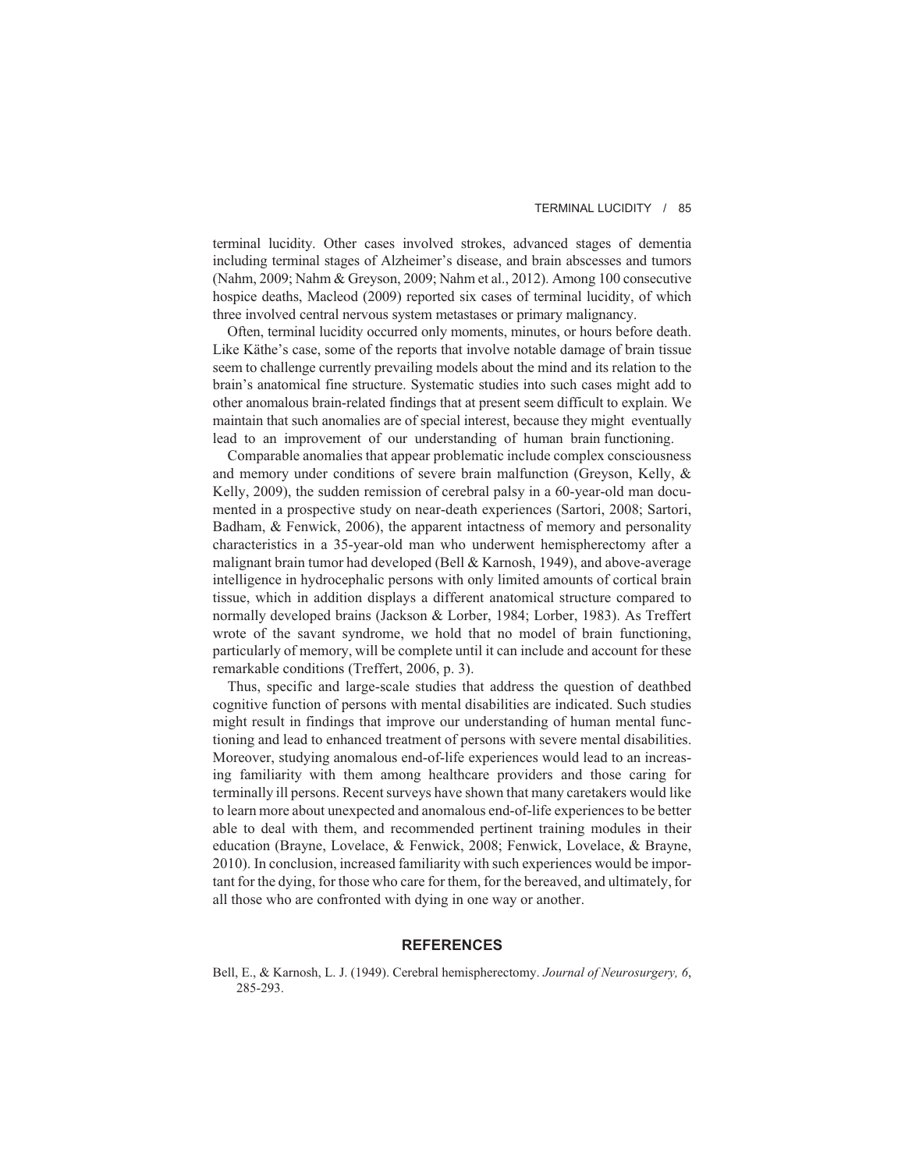terminal lucidity. Other cases involved strokes, advanced stages of dementia including terminal stages of Alzheimer's disease, and brain abscesses and tumors (Nahm, 2009; Nahm & Greyson, 2009; Nahm et al., 2012). Among 100 consecutive hospice deaths, Macleod (2009) reported six cases of terminal lucidity, of which three involved central nervous system metastases or primary malignancy.

Often, terminal lucidity occurred only moments, minutes, or hours before death. Like Käthe's case, some of the reports that involve notable damage of brain tissue seem to challenge currently prevailing models about the mind and its relation to the brain's anatomical fine structure. Systematic studies into such cases might add to other anomalous brain-related findings that at present seem difficult to explain. We maintain that such anomalies are of special interest, because they might eventually lead to an improvement of our understanding of human brain functioning.

Comparable anomalies that appear problematic include complex consciousness and memory under conditions of severe brain malfunction (Greyson, Kelly, & Kelly, 2009), the sudden remission of cerebral palsy in a 60-year-old man documented in a prospective study on near-death experiences (Sartori, 2008; Sartori, Badham, & Fenwick, 2006), the apparent intactness of memory and personality characteristics in a 35-year-old man who underwent hemispherectomy after a malignant brain tumor had developed (Bell & Karnosh, 1949), and above-average intelligence in hydrocephalic persons with only limited amounts of cortical brain tissue, which in addition displays a different anatomical structure compared to normally developed brains (Jackson & Lorber, 1984; Lorber, 1983). As Treffert wrote of the savant syndrome, we hold that no model of brain functioning, particularly of memory, will be complete until it can include and account for these remarkable conditions (Treffert, 2006, p. 3).

Thus, specific and large-scale studies that address the question of deathbed cognitive function of persons with mental disabilities are indicated. Such studies might result in findings that improve our understanding of human mental functioning and lead to enhanced treatment of persons with severe mental disabilities. Moreover, studying anomalous end-of-life experiences would lead to an increasing familiarity with them among healthcare providers and those caring for terminally ill persons. Recent surveys have shown that many caretakers would like to learn more about unexpected and anomalous end-of-life experiences to be better able to deal with them, and recommended pertinent training modules in their education (Brayne, Lovelace, & Fenwick, 2008; Fenwick, Lovelace, & Brayne, 2010). In conclusion, increased familiarity with such experiences would be important for the dying, for those who care for them, for the bereaved, and ultimately, for all those who are confronted with dying in one way or another.

# **REFERENCES**

Bell, E., & Karnosh, L. J. (1949). Cerebral hemispherectomy. *Journal of Neurosurgery, 6*, 285-293.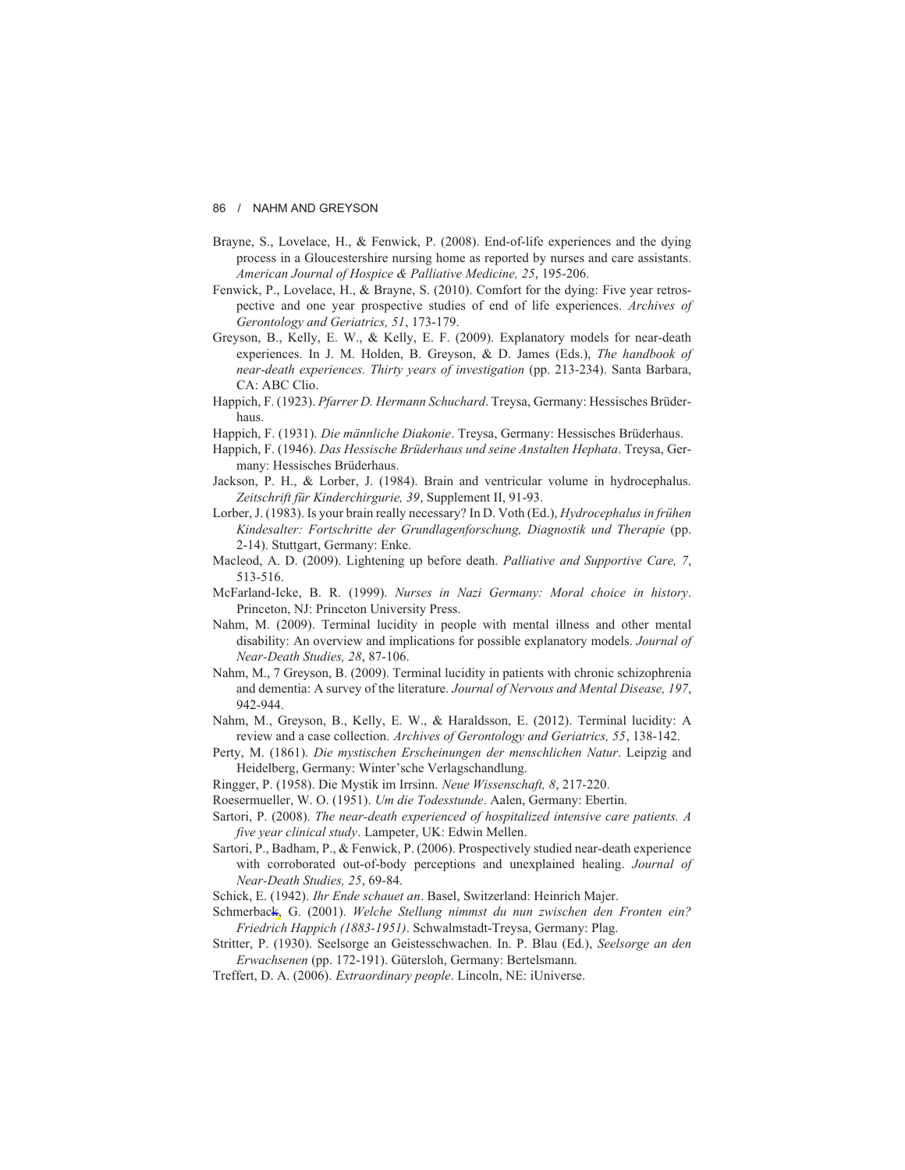- Brayne, S., Lovelace, H., & Fenwick, P. (2008). End-of-life experiences and the dying process in a Gloucestershire nursing home as reported by nurses and care assistants. *American Journal of Hospice & Palliative Medicine, 25*, 195-206.
- Fenwick, P., Lovelace, H., & Brayne, S. (2010). Comfort for the dying: Five year retrospective and one year prospective studies of end of life experiences. *Archives of Gerontology and Geriatrics, 51*, 173-179.
- Greyson, B., Kelly, E. W., & Kelly, E. F. (2009). Explanatory models for near-death experiences. In J. M. Holden, B. Greyson, & D. James (Eds.), *The handbook of near-death experiences. Thirty years of investigation* (pp. 213-234). Santa Barbara, CA: ABC Clio.
- Happich, F. (1923). *Pfarrer D. Hermann Schuchard*. Treysa, Germany: Hessisches Brüderhaus.
- Happich, F. (1931). *Die männliche Diakonie*. Treysa, Germany: Hessisches Brüderhaus.
- Happich, F. (1946). *Das Hessische Brüderhaus und seine Anstalten Hephata*. Treysa, Germany: Hessisches Brüderhaus.
- Jackson, P. H., & Lorber, J. (1984). Brain and ventricular volume in hydrocephalus. *Zeitschrift für Kinderchirgurie, 39*, Supplement II, 91-93.
- Lorber, J. (1983). Is your brain really necessary? In D. Voth (Ed.), *Hydrocephalus in frühen Kindesalter: Fortschritte der Grundlagenforschung, Diagnostik und Therapie* (pp. 2-14). Stuttgart, Germany: Enke.
- Macleod, A. D. (2009). Lightening up before death. *Palliative and Supportive Care, 7*, 513-516.
- McFarland-Icke, B. R. (1999). *Nurses in Nazi Germany: Moral choice in history*. Princeton, NJ: Princeton University Press.
- Nahm, M. (2009). Terminal lucidity in people with mental illness and other mental disability: An overview and implications for possible explanatory models. *Journal of Near-Death Studies, 28*, 87-106.
- Nahm, M., 7 Greyson, B. (2009). Terminal lucidity in patients with chronic schizophrenia and dementia: A survey of the literature. *Journal of Nervous and Mental Disease, 197*, 942-944.
- Nahm, M., Greyson, B., Kelly, E. W., & Haraldsson, E. (2012). Terminal lucidity: A review and a case collection. *Archives of Gerontology and Geriatrics, 55*, 138-142.
- Perty, M. (1861). *Die mystischen Erscheinungen der menschlichen Natur*. Leipzig and Heidelberg, Germany: Winter'sche Verlagschandlung.
- Ringger, P. (1958). Die Mystik im Irrsinn. *Neue Wissenschaft, 8*, 217-220.
- Roesermueller, W. O. (1951). *Um die Todesstunde*. Aalen, Germany: Ebertin.
- Sartori, P. (2008). *The near-death experienced of hospitalized intensive care patients. A five year clinical study*. Lampeter, UK: Edwin Mellen.
- Sartori, P., Badham, P., & Fenwick, P. (2006). Prospectively studied near-death experience with corroborated out-of-body perceptions and unexplained healing. *Journal of Near-Death Studies, 25*, 69-84.
- Schick, E. (1942). *Ihr Ende schauet an*. Basel, Switzerland: Heinrich Majer.
- Schmerback, G. (2001). *Welche Stellung nimmst du nun zwischen den Fronten ein? Friedrich Happich (1883-1951)*. Schwalmstadt-Treysa, Germany: Plag.
- Stritter, P. (1930). Seelsorge an Geistesschwachen. In. P. Blau (Ed.), *Seelsorge an den Erwachsenen* (pp. 172-191). Gütersloh, Germany: Bertelsmann.
- Treffert, D. A. (2006). *Extraordinary people*. Lincoln, NE: iUniverse.